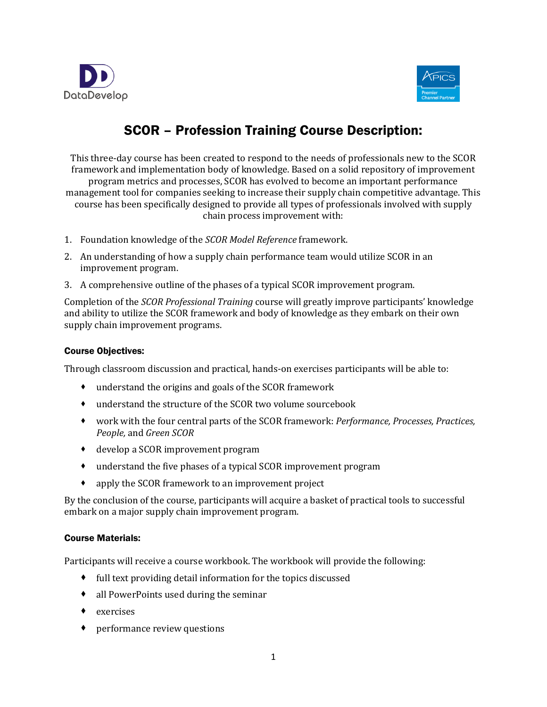



# SCOR – Profession Training Course Description:

This three-day course has been created to respond to the needs of professionals new to the SCOR framework and implementation body of knowledge. Based on a solid repository of improvement program metrics and processes, SCOR has evolved to become an important performance management tool for companies seeking to increase their supply chain competitive advantage. This course has been specifically designed to provide all types of professionals involved with supply chain process improvement with:

- 1. Foundation knowledge of the *SCOR Model Reference* framework.
- 2. An understanding of how a supply chain performance team would utilize SCOR in an improvement program.
- 3. A comprehensive outline of the phases of a typical SCOR improvement program.

Completion of the *SCOR Professional Training* course will greatly improve participants' knowledge and ability to utilize the SCOR framework and body of knowledge as they embark on their own supply chain improvement programs.

## Course Objectives:

Through classroom discussion and practical, hands-on exercises participants will be able to:

- understand the origins and goals of the SCOR framework
- understand the structure of the SCOR two volume sourcebook
- work with the four central parts of the SCOR framework: *Performance, Processes, Practices, People,* and *Green SCOR*
- develop a SCOR improvement program
- understand the five phases of a typical SCOR improvement program
- apply the SCOR framework to an improvement project

By the conclusion of the course, participants will acquire a basket of practical tools to successful embark on a major supply chain improvement program.

## Course Materials:

Participants will receive a course workbook. The workbook will provide the following:

- full text providing detail information for the topics discussed
- all PowerPoints used during the seminar
- ◆ exercises
- performance review questions